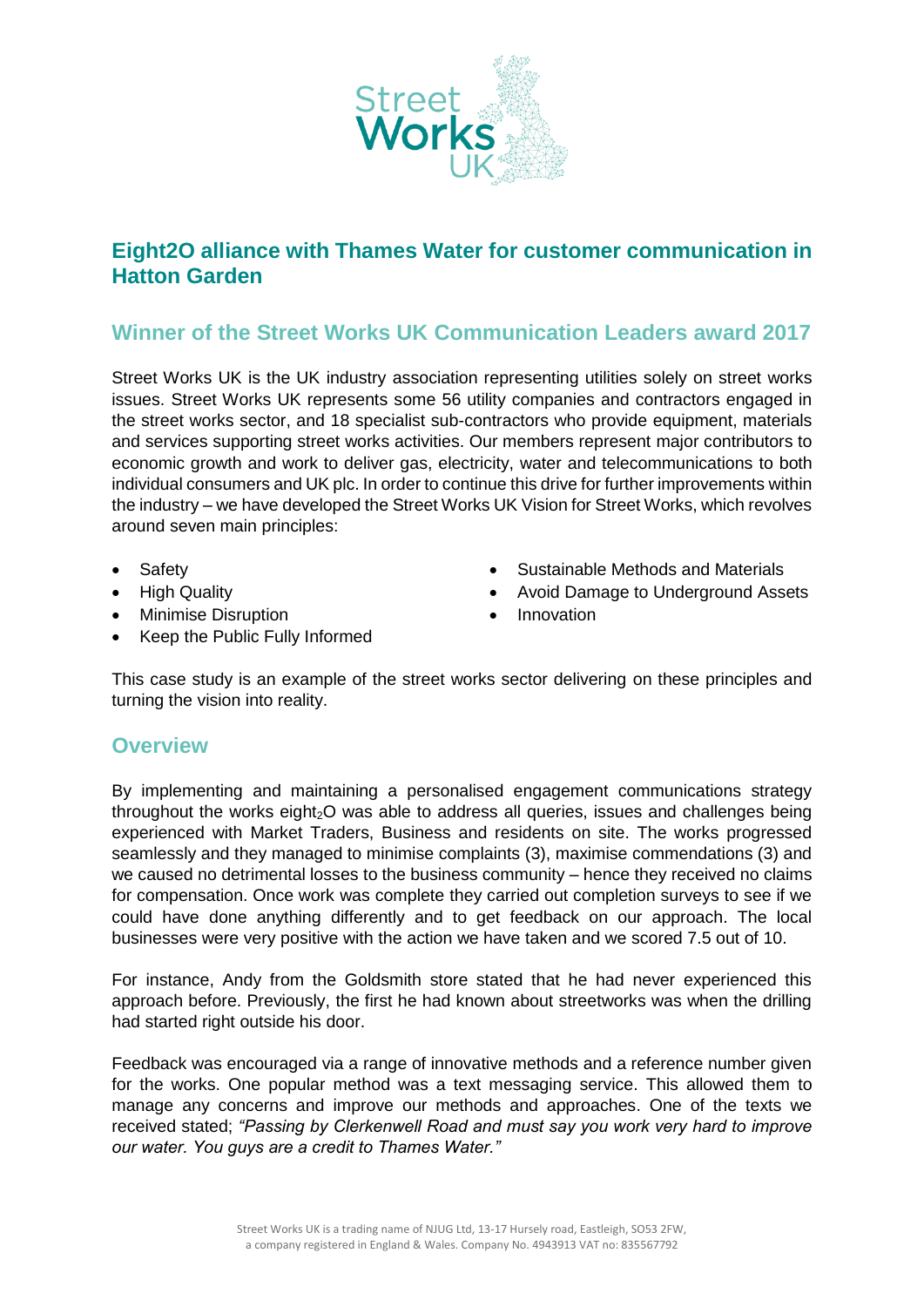

## **Eight2O alliance with Thames Water for customer communication in Hatton Garden**

## **Winner of the Street Works UK Communication Leaders award 2017**

Street Works UK is the UK industry association representing utilities solely on street works issues. Street Works UK represents some 56 utility companies and contractors engaged in the street works sector, and 18 specialist sub-contractors who provide equipment, materials and services supporting street works activities. Our members represent major contributors to economic growth and work to deliver gas, electricity, water and telecommunications to both individual consumers and UK plc. In order to continue this drive for further improvements within the industry – we have developed the Street Works UK Vision for Street Works, which revolves around seven main principles:

- **Safety**
- High Quality
- Minimise Disruption
- Sustainable Methods and Materials
- Avoid Damage to Underground Assets
- Innovation
- Keep the Public Fully Informed

This case study is an example of the street works sector delivering on these principles and turning the vision into reality.

## **Overview**

By implementing and maintaining a personalised engagement communications strategy throughout the works eight $20$  was able to address all queries, issues and challenges being experienced with Market Traders, Business and residents on site. The works progressed seamlessly and they managed to minimise complaints (3), maximise commendations (3) and we caused no detrimental losses to the business community – hence they received no claims for compensation. Once work was complete they carried out completion surveys to see if we could have done anything differently and to get feedback on our approach. The local businesses were very positive with the action we have taken and we scored 7.5 out of 10.

For instance, Andy from the Goldsmith store stated that he had never experienced this approach before. Previously, the first he had known about streetworks was when the drilling had started right outside his door.

Feedback was encouraged via a range of innovative methods and a reference number given for the works. One popular method was a text messaging service. This allowed them to manage any concerns and improve our methods and approaches. One of the texts we received stated; *"Passing by Clerkenwell Road and must say you work very hard to improve our water. You guys are a credit to Thames Water."*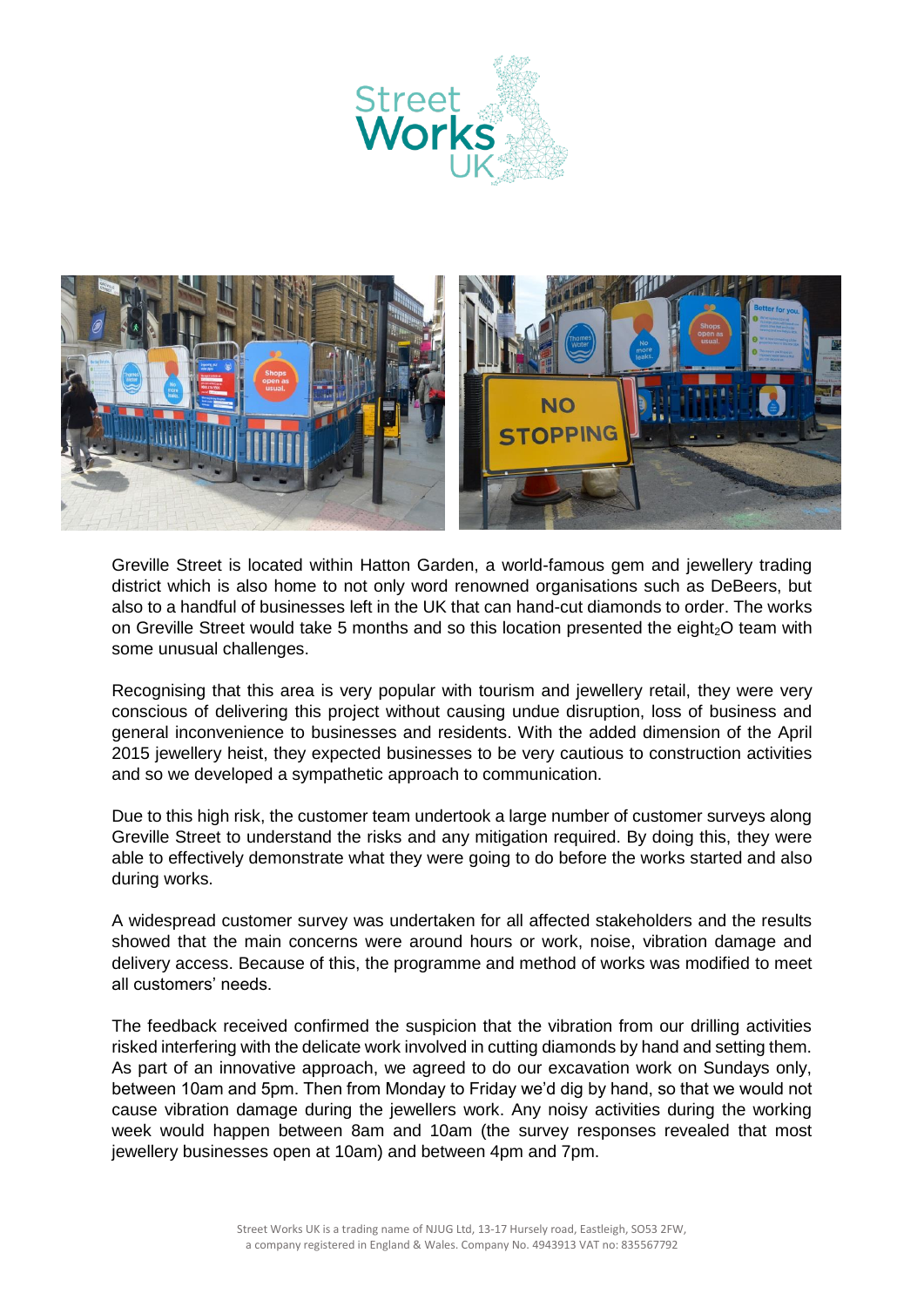



Greville Street is located within Hatton Garden, a world-famous gem and jewellery trading district which is also home to not only word renowned organisations such as DeBeers, but also to a handful of businesses left in the UK that can hand-cut diamonds to order. The works on Greville Street would take 5 months and so this location presented the eight<sub>2</sub>O team with some unusual challenges.

Recognising that this area is very popular with tourism and jewellery retail, they were very conscious of delivering this project without causing undue disruption, loss of business and general inconvenience to businesses and residents. With the added dimension of the April 2015 jewellery heist, they expected businesses to be very cautious to construction activities and so we developed a sympathetic approach to communication.

Due to this high risk, the customer team undertook a large number of customer surveys along Greville Street to understand the risks and any mitigation required. By doing this, they were able to effectively demonstrate what they were going to do before the works started and also during works.

A widespread customer survey was undertaken for all affected stakeholders and the results showed that the main concerns were around hours or work, noise, vibration damage and delivery access. Because of this, the programme and method of works was modified to meet all customers' needs.

The feedback received confirmed the suspicion that the vibration from our drilling activities risked interfering with the delicate work involved in cutting diamonds by hand and setting them. As part of an innovative approach, we agreed to do our excavation work on Sundays only, between 10am and 5pm. Then from Monday to Friday we'd dig by hand, so that we would not cause vibration damage during the jewellers work. Any noisy activities during the working week would happen between 8am and 10am (the survey responses revealed that most jewellery businesses open at 10am) and between 4pm and 7pm.